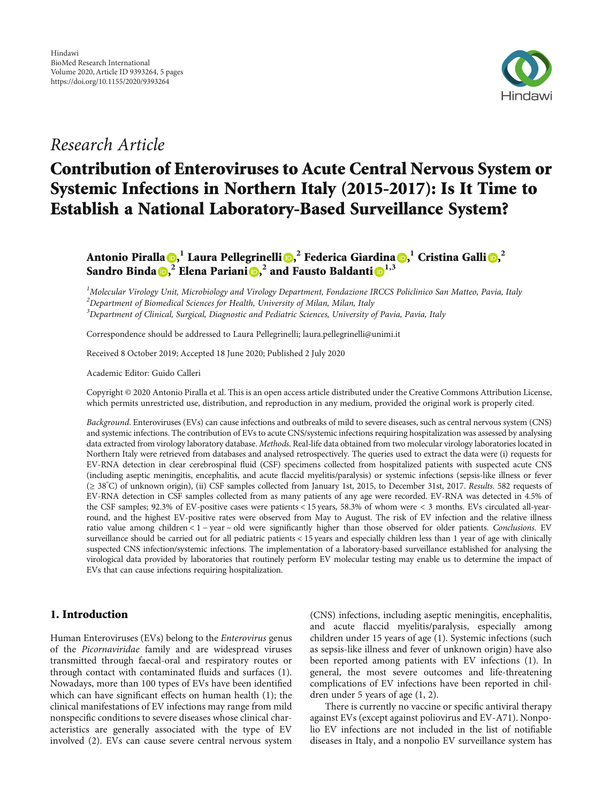

# Research Article

# Contribution of Enteroviruses to Acute Central Nervous System or Systemic Infections in Northern Italy (2015-2017): Is It Time to Establish a National Laboratory-Based Surveillance System?

Antonio Piralla <mark>()[,](https://orcid.org/0000-0002-3710-0940)</mark> Laura Pellegrinelli (), <sup>2</sup> Federica Giardina (), <sup>1</sup> Cristina Galli (), <sup>2</sup> Sandro Binda **D**,<sup>2</sup> Elena Pariani **D**,<sup>2</sup> and Fausto Baldanti **D**<sup>1,3</sup>

<sup>1</sup>Molecular Virology Unit, Microbiology and Virology Department, Fondazione IRCCS Policlinico San Matteo, Pavia, Italy  $^2$ Department of Biomedical Sciences for Health, University of Milan, Milan, Italy <sup>3</sup>Department of Clinical, Surgical, Diagnostic and Pediatric Sciences, University of Pavia, Pavia, Italy

Correspondence should be addressed to Laura Pellegrinelli; laura.pellegrinelli@unimi.it

Received 8 October 2019; Accepted 18 June 2020; Published 2 July 2020

Academic Editor: Guido Calleri

Copyright © 2020 Antonio Piralla et al. This is an open access article distributed under the [Creative Commons Attribution License](https://creativecommons.org/licenses/by/4.0/), which permits unrestricted use, distribution, and reproduction in any medium, provided the original work is properly cited.

Background. Enteroviruses (EVs) can cause infections and outbreaks of mild to severe diseases, such as central nervous system (CNS) and systemic infections. The contribution of EVs to acute CNS/systemic infections requiring hospitalization was assessed by analysing data extracted from virology laboratory database. Methods. Real-life data obtained from two molecular virology laboratories located in Northern Italy were retrieved from databases and analysed retrospectively. The queries used to extract the data were (i) requests for EV-RNA detection in clear cerebrospinal fluid (CSF) specimens collected from hospitalized patients with suspected acute CNS (including aseptic meningitis, encephalitis, and acute flaccid myelitis/paralysis) or systemic infections (sepsis-like illness or fever (<sup>≥</sup> <sup>38</sup>° C) of unknown origin), (ii) CSF samples collected from January 1st, 2015, to December 31st, 2017. Results. 582 requests of EV-RNA detection in CSF samples collected from as many patients of any age were recorded. EV-RNA was detected in 4.5% of the CSF samples; 92.3% of EV-positive cases were patients < 15 years, 58.3% of whom were < 3 months. EVs circulated all-yearround, and the highest EV-positive rates were observed from May to August. The risk of EV infection and the relative illness ratio value among children < 1 − year − old were significantly higher than those observed for older patients. Conclusions. EV surveillance should be carried out for all pediatric patients < 15 years and especially children less than 1 year of age with clinically suspected CNS infection/systemic infections. The implementation of a laboratory-based surveillance established for analysing the virological data provided by laboratories that routinely perform EV molecular testing may enable us to determine the impact of EVs that can cause infections requiring hospitalization.

# 1. Introduction

Human Enteroviruses (EVs) belong to the Enterovirus genus of the Picornaviridae family and are widespread viruses transmitted through faecal-oral and respiratory routes or through contact with contaminated fluids and surfaces ([1](#page-3-0)). Nowadays, more than 100 types of EVs have been identified which can have significant effects on human health ([1\)](#page-3-0); the clinical manifestations of EV infections may range from mild nonspecific conditions to severe diseases whose clinical characteristics are generally associated with the type of EV involved [\(2](#page-3-0)). EVs can cause severe central nervous system (CNS) infections, including aseptic meningitis, encephalitis, and acute flaccid myelitis/paralysis, especially among children under 15 years of age ([1\)](#page-3-0). Systemic infections (such as sepsis-like illness and fever of unknown origin) have also been reported among patients with EV infections [\(1\)](#page-3-0). In general, the most severe outcomes and life-threatening complications of EV infections have been reported in children under 5 years of age [\(1, 2\)](#page-3-0).

There is currently no vaccine or specific antiviral therapy against EVs (except against poliovirus and EV-A71). Nonpolio EV infections are not included in the list of notifiable diseases in Italy, and a nonpolio EV surveillance system has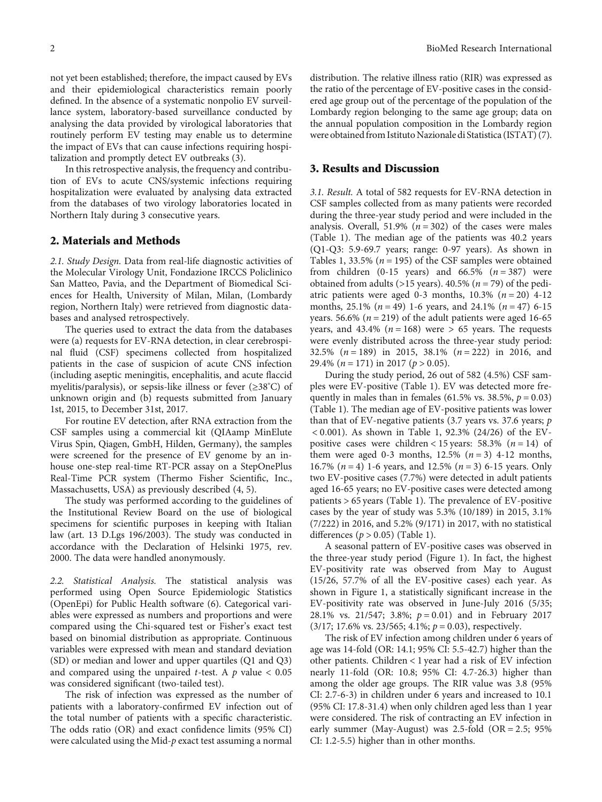not yet been established; therefore, the impact caused by EVs and their epidemiological characteristics remain poorly defined. In the absence of a systematic nonpolio EV surveillance system, laboratory-based surveillance conducted by analysing the data provided by virological laboratories that routinely perform EV testing may enable us to determine the impact of EVs that can cause infections requiring hospitalization and promptly detect EV outbreaks [\(3](#page-3-0)).

In this retrospective analysis, the frequency and contribution of EVs to acute CNS/systemic infections requiring hospitalization were evaluated by analysing data extracted from the databases of two virology laboratories located in Northern Italy during 3 consecutive years.

#### 2. Materials and Methods

2.1. Study Design. Data from real-life diagnostic activities of the Molecular Virology Unit, Fondazione IRCCS Policlinico San Matteo, Pavia, and the Department of Biomedical Sciences for Health, University of Milan, Milan, (Lombardy region, Northern Italy) were retrieved from diagnostic databases and analysed retrospectively.

The queries used to extract the data from the databases were (a) requests for EV-RNA detection, in clear cerebrospinal fluid (CSF) specimens collected from hospitalized patients in the case of suspicion of acute CNS infection (including aseptic meningitis, encephalitis, and acute flaccid myelitis/paralysis), or sepsis-like illness or fever (≥38° C) of unknown origin and (b) requests submitted from January 1st, 2015, to December 31st, 2017.

For routine EV detection, after RNA extraction from the CSF samples using a commercial kit (QIAamp MinElute Virus Spin, Qiagen, GmbH, Hilden, Germany), the samples were screened for the presence of EV genome by an inhouse one-step real-time RT-PCR assay on a StepOnePlus Real-Time PCR system (Thermo Fisher Scientific, Inc., Massachusetts, USA) as previously described ([4](#page-3-0), [5](#page-3-0)).

The study was performed according to the guidelines of the Institutional Review Board on the use of biological specimens for scientific purposes in keeping with Italian law (art. 13 D.Lgs 196/2003). The study was conducted in accordance with the Declaration of Helsinki 1975, rev. 2000. The data were handled anonymously.

2.2. Statistical Analysis. The statistical analysis was performed using Open Source Epidemiologic Statistics (OpenEpi) for Public Health software [\(6\)](#page-3-0). Categorical variables were expressed as numbers and proportions and were compared using the Chi-squared test or Fisher's exact test based on binomial distribution as appropriate. Continuous variables were expressed with mean and standard deviation (SD) or median and lower and upper quartiles (Q1 and Q3) and compared using the unpaired *t*-test. A *p* value < 0.05 was considered significant (two-tailed test).

The risk of infection was expressed as the number of patients with a laboratory-confirmed EV infection out of the total number of patients with a specific characteristic. The odds ratio (OR) and exact confidence limits (95% CI) were calculated using the Mid-*p* exact test assuming a normal

distribution. The relative illness ratio (RIR) was expressed as the ratio of the percentage of EV-positive cases in the considered age group out of the percentage of the population of the Lombardy region belonging to the same age group; data on the annual population composition in the Lombardy region were obtained from Istituto Nazionale di Statistica (ISTAT) ([7](#page-3-0)).

#### 3. Results and Discussion

3.1. Result. A total of 582 requests for EV-RNA detection in CSF samples collected from as many patients were recorded during the three-year study period and were included in the analysis. Overall, 51.9%  $(n = 302)$  of the cases were males (Table [1\)](#page-2-0). The median age of the patients was 40.2 years (Q1-Q3: 5.9-69.7 years; range: 0-97 years). As shown in Tables [1](#page-2-0), 33.5% (*n* = 195) of the CSF samples were obtained from children  $(0-15 \text{ years})$  and  $66.5\%$   $(n=387)$  were obtained from adults (>15 years). 40.5% (*n* = 79) of the pediatric patients were aged 0-3 months, 10.3% (*n* = 20) 4-12 months, 25.1% (*n* = 49) 1-6 years, and 24.1% (*n* = 47) 6-15 years. 56.6% ( $n = 219$ ) of the adult patients were aged 16-65 years, and  $43.4\%$  ( $n = 168$ ) were  $> 65$  years. The requests were evenly distributed across the three-year study period: 32.5% (*n* = 189) in 2015, 38.1% (*n* = 222) in 2016, and 29.4% (*n* = 171) in 2017 (*p* > 0*:*05).

During the study period, 26 out of 582 (4.5%) CSF samples were EV-positive (Table [1](#page-2-0)). EV was detected more frequently in males than in females (61.5% vs. 38.5%,  $p = 0.03$ ) (Table [1\)](#page-2-0). The median age of EV-positive patients was lower than that of EV-negative patients (3.7 years vs. 37.6 years; *p* < 0*:*001). As shown in Table [1,](#page-2-0) 92.3% (24/26) of the EVpositive cases were children <  $15$  years:  $58.3\%$  ( $n = 14$ ) of them were aged 0-3 months,  $12.5\%$   $(n=3)$  4-12 months, 16.7% (*n* = 4) 1-6 years, and 12.5% (*n* = 3) 6-15 years. Only two EV-positive cases (7.7%) were detected in adult patients aged 16-65 years; no EV-positive cases were detected among patients > 65 years (Table [1\)](#page-2-0). The prevalence of EV-positive cases by the year of study was 5.3% (10/189) in 2015, 3.1% (7/222) in 2016, and 5.2% (9/171) in 2017, with no statistical differences (*p* > 0*:*05) (Table [1\)](#page-2-0).

A seasonal pattern of EV-positive cases was observed in the three-year study period (Figure [1](#page-3-0)). In fact, the highest EV-positivity rate was observed from May to August (15/26, 57.7% of all the EV-positive cases) each year. As shown in Figure [1](#page-3-0), a statistically significant increase in the EV-positivity rate was observed in June-July 2016 (5/35; 28.1% vs. 21/547; 3.8%; *p* = 0*:*01) and in February 2017 (3/17; 17.6% vs. 23/565; 4.1%; *p* = 0*:*03), respectively.

The risk of EV infection among children under 6 years of age was 14-fold (OR: 14.1; 95% CI: 5.5-42.7) higher than the other patients. Children < 1 year had a risk of EV infection nearly 11-fold (OR: 10.8; 95% CI: 4.7-26.3) higher than among the older age groups. The RIR value was 3.8 (95% CI: 2.7-6-3) in children under 6 years and increased to 10.1 (95% CI: 17.8-31.4) when only children aged less than 1 year were considered. The risk of contracting an EV infection in early summer (May-August) was 2.5-fold (OR = 2*:*5; 95% CI: 1.2-5.5) higher than in other months.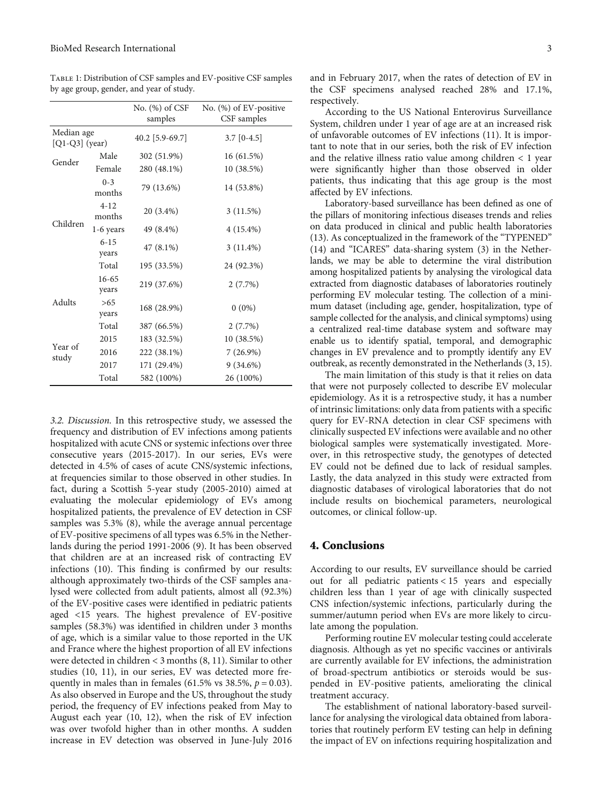<span id="page-2-0"></span>Table 1: Distribution of CSF samples and EV-positive CSF samples by age group, gender, and year of study.

|                                |                    | No. $(\%)$ of CSF<br>samples | No. $(\%)$ of EV-positive<br>CSF samples |
|--------------------------------|--------------------|------------------------------|------------------------------------------|
| Median age<br>$[Q1-Q3]$ (year) |                    | 40.2 [5.9-69.7]              | $3.7$ [0-4.5]                            |
| Gender                         | Male               | 302 (51.9%)                  | 16(61.5%)                                |
|                                | Female             | 280 (48.1%)                  | 10 (38.5%)                               |
| Children                       | $0 - 3$<br>months  | 79 (13.6%)                   | 14 (53.8%)                               |
|                                | $4 - 12$<br>months | 20 (3.4%)                    | 3(11.5%)                                 |
|                                | 1-6 years          | 49 (8.4%)                    | $4(15.4\%)$                              |
|                                | $6 - 15$<br>years  | $47(8.1\%)$                  | $3(11.4\%)$                              |
|                                | Total              | 195 (33.5%)                  | 24 (92.3%)                               |
| Adults                         | 16-65<br>years     | 219 (37.6%)                  | 2(7.7%)                                  |
|                                | >65<br>years       | 168 (28.9%)                  | $0(0\%)$                                 |
| Year of<br>study               | Total              | 387 (66.5%)                  | 2(7.7%)                                  |
|                                | 2015               | 183 (32.5%)                  | 10 (38.5%)                               |
|                                | 2016               | 222 (38.1%)                  | $7(26.9\%)$                              |
|                                | 2017               | 171 (29.4%)                  | $9(34.6\%)$                              |
|                                | Total              | 582 (100%)                   | 26 (100%)                                |

3.2. Discussion. In this retrospective study, we assessed the frequency and distribution of EV infections among patients hospitalized with acute CNS or systemic infections over three consecutive years (2015-2017). In our series, EVs were detected in 4.5% of cases of acute CNS/systemic infections, at frequencies similar to those observed in other studies. In fact, during a Scottish 5-year study (2005-2010) aimed at evaluating the molecular epidemiology of EVs among hospitalized patients, the prevalence of EV detection in CSF samples was 5.3% [\(8](#page-3-0)), while the average annual percentage of EV-positive specimens of all types was 6.5% in the Netherlands during the period 1991-2006 [\(9](#page-3-0)). It has been observed that children are at an increased risk of contracting EV infections [\(10\)](#page-3-0). This finding is confirmed by our results: although approximately two-thirds of the CSF samples analysed were collected from adult patients, almost all (92.3%) of the EV-positive cases were identified in pediatric patients aged <15 years. The highest prevalence of EV-positive samples (58.3%) was identified in children under 3 months of age, which is a similar value to those reported in the UK and France where the highest proportion of all EV infections were detected in children < 3 months [\(8, 11\)](#page-3-0). Similar to other studies [\(10, 11\)](#page-3-0), in our series, EV was detected more frequently in males than in females (61.5% vs 38.5%,  $p = 0.03$ ). As also observed in Europe and the US, throughout the study period, the frequency of EV infections peaked from May to August each year [\(10](#page-3-0), [12](#page-3-0)), when the risk of EV infection was over twofold higher than in other months. A sudden increase in EV detection was observed in June-July 2016 and in February 2017, when the rates of detection of EV in the CSF specimens analysed reached 28% and 17.1%, respectively.

According to the US National Enterovirus Surveillance System, children under 1 year of age are at an increased risk of unfavorable outcomes of EV infections [\(11](#page-3-0)). It is important to note that in our series, both the risk of EV infection and the relative illness ratio value among children < 1 year were significantly higher than those observed in older patients, thus indicating that this age group is the most affected by EV infections.

Laboratory-based surveillance has been defined as one of the pillars of monitoring infectious diseases trends and relies on data produced in clinical and public health laboratories [\(13\)](#page-3-0). As conceptualized in the framework of the "TYPENED" [\(14\)](#page-4-0) and "ICARES" data-sharing system [\(3\)](#page-3-0) in the Netherlands, we may be able to determine the viral distribution among hospitalized patients by analysing the virological data extracted from diagnostic databases of laboratories routinely performing EV molecular testing. The collection of a minimum dataset (including age, gender, hospitalization, type of sample collected for the analysis, and clinical symptoms) using a centralized real-time database system and software may enable us to identify spatial, temporal, and demographic changes in EV prevalence and to promptly identify any EV outbreak, as recently demonstrated in the Netherlands ([3,](#page-3-0) [15](#page-4-0)).

The main limitation of this study is that it relies on data that were not purposely collected to describe EV molecular epidemiology. As it is a retrospective study, it has a number of intrinsic limitations: only data from patients with a specific query for EV-RNA detection in clear CSF specimens with clinically suspected EV infections were available and no other biological samples were systematically investigated. Moreover, in this retrospective study, the genotypes of detected EV could not be defined due to lack of residual samples. Lastly, the data analyzed in this study were extracted from diagnostic databases of virological laboratories that do not include results on biochemical parameters, neurological outcomes, or clinical follow-up.

#### 4. Conclusions

According to our results, EV surveillance should be carried out for all pediatric patients < 15 years and especially children less than 1 year of age with clinically suspected CNS infection/systemic infections, particularly during the summer/autumn period when EVs are more likely to circulate among the population.

Performing routine EV molecular testing could accelerate diagnosis. Although as yet no specific vaccines or antivirals are currently available for EV infections, the administration of broad-spectrum antibiotics or steroids would be suspended in EV-positive patients, ameliorating the clinical treatment accuracy.

The establishment of national laboratory-based surveillance for analysing the virological data obtained from laboratories that routinely perform EV testing can help in defining the impact of EV on infections requiring hospitalization and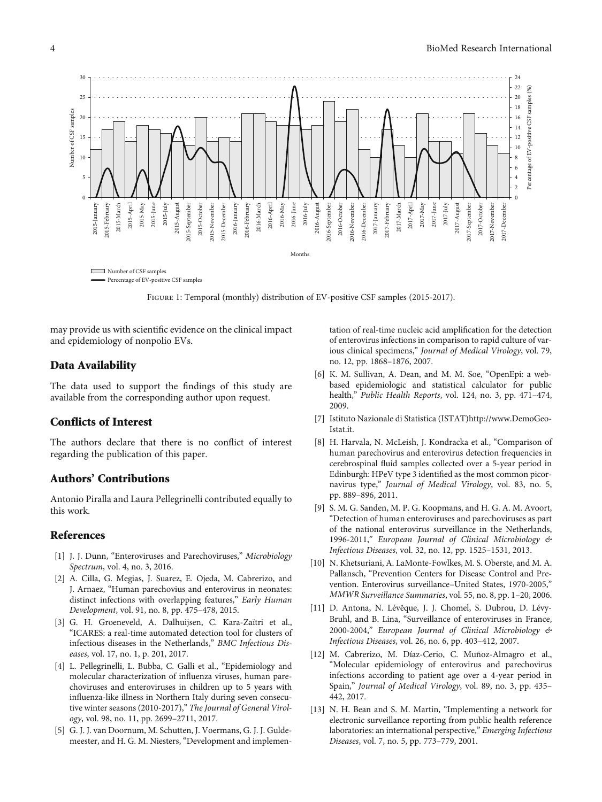<span id="page-3-0"></span>

Figure 1: Temporal (monthly) distribution of EV-positive CSF samples (2015-2017).

may provide us with scientific evidence on the clinical impact and epidemiology of nonpolio EVs.

# Data Availability

The data used to support the findings of this study are available from the corresponding author upon request.

# Conflicts of Interest

The authors declare that there is no conflict of interest regarding the publication of this paper.

# Authors' Contributions

Antonio Piralla and Laura Pellegrinelli contributed equally to this work.

# References

- [1] J. J. Dunn, "Enteroviruses and Parechoviruses," Microbiology Spectrum, vol. 4, no. 3, 2016.
- [2] A. Cilla, G. Megias, J. Suarez, E. Ojeda, M. Cabrerizo, and J. Arnaez, "Human parechovius and enterovirus in neonates: distinct infections with overlapping features," Early Human Development, vol. 91, no. 8, pp. 475–478, 2015.
- [3] G. H. Groeneveld, A. Dalhuijsen, C. Kara-Zaïtri et al., "ICARES: a real-time automated detection tool for clusters of infectious diseases in the Netherlands," BMC Infectious Diseases, vol. 17, no. 1, p. 201, 2017.
- [4] L. Pellegrinelli, L. Bubba, C. Galli et al., "Epidemiology and molecular characterization of influenza viruses, human parechoviruses and enteroviruses in children up to 5 years with influenza-like illness in Northern Italy during seven consecutive winter seasons (2010-2017)," The Journal of General Virology, vol. 98, no. 11, pp. 2699–2711, 2017.
- [5] G. J. J. van Doornum, M. Schutten, J. Voermans, G. J. J. Guldemeester, and H. G. M. Niesters, "Development and implemen-

tation of real-time nucleic acid amplification for the detection of enterovirus infections in comparison to rapid culture of various clinical specimens," Journal of Medical Virology, vol. 79, no. 12, pp. 1868–1876, 2007.

- [6] K. M. Sullivan, A. Dean, and M. M. Soe, "OpenEpi: a webbased epidemiologic and statistical calculator for public health," Public Health Reports, vol. 124, no. 3, pp. 471–474, 2009.
- [7] Istituto Nazionale di Statistica (ISTAT[\)http://www.DemoGeo-](http://www.DemoGeo-Istat.it)[Istat.it.](http://www.DemoGeo-Istat.it)
- [8] H. Harvala, N. McLeish, J. Kondracka et al., "Comparison of human parechovirus and enterovirus detection frequencies in cerebrospinal fluid samples collected over a 5-year period in Edinburgh: HPeV type 3 identified as the most common picornavirus type," Journal of Medical Virology, vol. 83, no. 5, pp. 889–896, 2011.
- [9] S. M. G. Sanden, M. P. G. Koopmans, and H. G. A. M. Avoort, "Detection of human enteroviruses and parechoviruses as part of the national enterovirus surveillance in the Netherlands, 1996-2011," European Journal of Clinical Microbiology & Infectious Diseases, vol. 32, no. 12, pp. 1525–1531, 2013.
- [10] N. Khetsuriani, A. LaMonte-Fowlkes, M. S. Oberste, and M. A. Pallansch, "Prevention Centers for Disease Control and Prevention. Enterovirus surveillance–United States, 1970-2005," MMWR Surveillance Summaries, vol. 55, no. 8, pp. 1–20, 2006.
- [11] D. Antona, N. Lévêque, J. J. Chomel, S. Dubrou, D. Lévy-Bruhl, and B. Lina, "Surveillance of enteroviruses in France, 2000-2004," European Journal of Clinical Microbiology & Infectious Diseases, vol. 26, no. 6, pp. 403–412, 2007.
- [12] M. Cabrerizo, M. Díaz-Cerio, C. Muñoz-Almagro et al., "Molecular epidemiology of enterovirus and parechovirus infections according to patient age over a 4-year period in Spain," Journal of Medical Virology, vol. 89, no. 3, pp. 435– 442, 2017.
- [13] N. H. Bean and S. M. Martin, "Implementing a network for electronic surveillance reporting from public health reference laboratories: an international perspective," Emerging Infectious Diseases, vol. 7, no. 5, pp. 773–779, 2001.